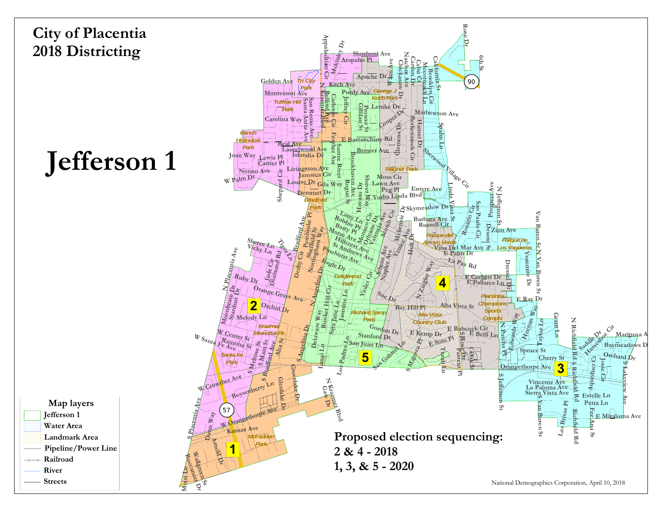